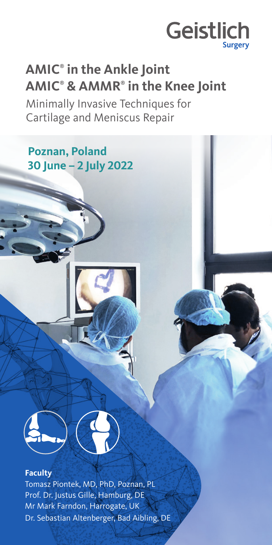

## **AMIC® in the Ankle Joint AMIC® & AMMR® in the Knee Joint**

Minimally Invasive Techniques for Cartilage and Meniscus Repair

### **Poznan, Poland 30 June – 2 July 2022**



#### **Faculty**

Tomasz Piontek, MD, PhD, Poznan, PL Prof. Dr. Justus Gille, Hamburg, DE Mr Mark Farndon, Harrogate, UK Dr. Sebastian Altenberger, Bad Aibling, DE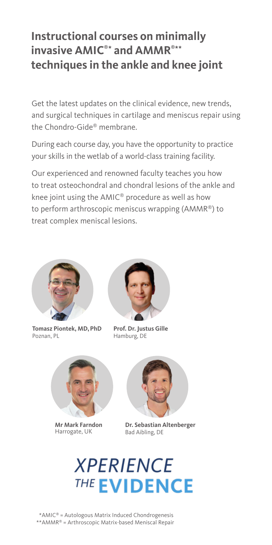### **Instructional courses on minimally invasive AMIC®\* and AMMR®\*\* techniques in the ankle and knee joint**

Get the latest updates on the clinical evidence, new trends, and surgical techniques in cartilage and meniscus repair using the Chondro-Gide® membrane.

During each course day, you have the opportunity to practice your skills in the wetlab of a world-class training facility.

Our experienced and renowned faculty teaches you how to treat osteochondral and chondral lesions of the ankle and knee joint using the AMIC® procedure as well as how to perform arthroscopic meniscus wrapping (AMMR®) to treat complex meniscal lesions.



**Tomasz Piontek, MD,PhD**  Poznan, PL



**Prof. Dr. Justus Gille**  Hamburg, DE



**Mr Mark Farndon**  Harrogate, UK



**Dr. Sebastian Altenberger** Bad Aibling, DE

# **XPERIENCE THE EVIDENCE**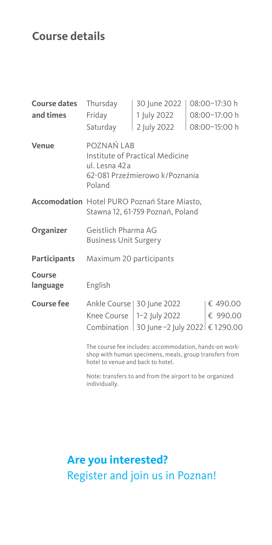### **Course details**

| <b>Course dates</b> | Thursday                                                                                                                                              | 30 June 2022                               |  | 08:00-17:30 h |  |
|---------------------|-------------------------------------------------------------------------------------------------------------------------------------------------------|--------------------------------------------|--|---------------|--|
| and times           | Friday                                                                                                                                                | 1 July 2022                                |  | 08:00-17:00 h |  |
|                     | Saturday                                                                                                                                              | 2 July 2022                                |  | 08:00-15:00 h |  |
| Venue               | POZNAŃ LAB<br>Institute of Practical Medicine<br>ul. Lesna 42 a<br>62-081 Przeźmierowo k/Poznania<br>Poland                                           |                                            |  |               |  |
|                     | <b>Accomodation</b> Hotel PURO Poznań Stare Miasto,<br>Stawna 12, 61-759 Poznań, Poland                                                               |                                            |  |               |  |
| Organizer           | Geistlich Pharma AG<br><b>Business Unit Surgery</b>                                                                                                   |                                            |  |               |  |
| <b>Participants</b> | Maximum 20 participants                                                                                                                               |                                            |  |               |  |
| Course<br>language  | English                                                                                                                                               |                                            |  |               |  |
| Course fee          |                                                                                                                                                       | Ankle Course   30 June 2022                |  | € 490.00      |  |
|                     |                                                                                                                                                       | Knee Course $ 1-2 $ July 2022              |  | € 990.00      |  |
|                     |                                                                                                                                                       | Combination 30 June -2 July 2022 € 1290.00 |  |               |  |
|                     | The course fee includes: accommodation, hands-on work-<br>shop with human specimens, meals, group transfers from<br>hotel to venue and back to hotel. |                                            |  |               |  |

Note: transfers to and from the airport to be organized individually.

### **Are you interested?** Register and join us in Poznan!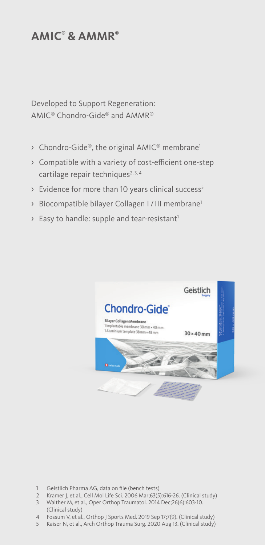#### **AMIC® & AMMR®**

Developed to Support Regeneration: AMIC® Chondro-Gide® and AMMR®

- $\rightarrow$  Chondro-Gide®, the original AMIC® membrane<sup>1</sup>
- › Compatible with a variety of cost-efficient one-step cartilage repair techniques<sup>2, 3, 4</sup>
- > Evidence for more than 10 years clinical success<sup>5</sup>
- › Biocompatible bilayer Collagen I / III membrane1
- $\rightarrow$  Easy to handle: supple and tear-resistant<sup>1</sup>



- 1 Geistlich Pharma AG, data on file (bench tests)
- 2 Kramer J, et al., Cell Mol Life Sci. 2006 Mar;63(5):616-26. (Clinical study)
- 3 Walther M, et al., Oper Orthop Traumatol. 2014 Dec;26(6):603-10. (Clinical study)
- 4 Fossum V, et al., Orthop J Sports Med. 2019 Sep 17;7(9). (Clinical study)
- 5 Kaiser N, et al., Arch Orthop Trauma Surg. 2020 Aug 13. (Clinical study)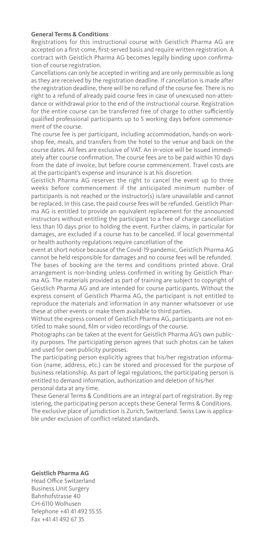#### **General Terms & Conditions**

Registrations for this instructional course with Geistlich Pharma AG are accepted on a first-come, first-served basis and require written registration. A contract with Geistlich Pharma AG becomes legally binding upon confirmation of course registration.

Cancellations can only be accepted in writing and are only permissible as long as they are received by the registration deadline. If cancellation is made after the registration deadline, there will be no refund of the course fee. There is no right to a refund of already paid course fees in case of unexcused non-attendance or withdrawal prior to the end of the instructional course. Registration for the entire course can be transferred free of charge to other sufficiently qualified professional participants up to 5 working days before commencement of the course.

The course fee is per participant, including accommodation, hands-on workshop fee, meals, and transfers from the hotel to the venue and back on the course dates. All fees are exclusive of VAT. An in-voice will be issued immediately after course confirmation. The course fees are to be paid within 10 days from the date of invoice, but before course commencement. Travel costs are at the participant's expense and insurance is at his discretion.

Geistlich Pharma AG reserves the right to cancel the event up to three weeks before commencement if the anticipated minimum number of participants is not reached or the instructor(s) is/are unavailable and cannot be replaced. In this case, the paid course fees will be refunded. Geistlich Pharma AG is entitled to provide an equivalent replacement for the announced instructors without entitling the participant to a free of charge cancellation less than 10 days prior to holding the event. Further claims, in particular for damages, are excluded if a course has to be cancelled. If local governmental or health authority regulations require cancellation of the

event at short notice because of the Covid-19 pandemic, Geistlich Pharma AG cannot be held responsible for damages and no course fees will be refunded.

The bases of booking are the terms and conditions printed above. Oral arrangement is non-binding unless confirmed in writing by Geistlich Pharma AG. The materials provided as part of training are subject to copyright of Geistlich Pharma AG and are intended for course participants. Without the express consent of Geistlich Pharma AG, the participant is not entitled to reproduce the materials and information in any manner whatsoever or use these at other events or make them available to third parties.

Without the express consent of Geistlich Pharma AG, participants are not entitled to make sound, film or video recordings of the course.

Photographs can be taken at the event for Geistlich Pharma AG's own publicity purposes. The participating person agrees that such photos can be taken and used for own publicity purposes.

The participating person explicitly agrees that his/her registration information (name, address, etc.) can be stored and processed for the purpose of business relationship. As part of legal regulations, the participating person is entitled to demand information, authorization and deletion of his/her personal data at any time.

These General Terms & Conditions are an integral part of registration. By registering, the participating person accepts these General Terms & Conditions. The exclusive place of jurisdiction is Zurich, Switzerland. Swiss Law is applicable under exclusion of conflict-related standards.

#### **Geistlich Pharma AG**

Head Office Switzerland Business Unit Surgery Bahnhofstrasse 40 CH-6110 Wolhusen Telephone +41 41 492 55 55 Fax +41 41 492 67 35